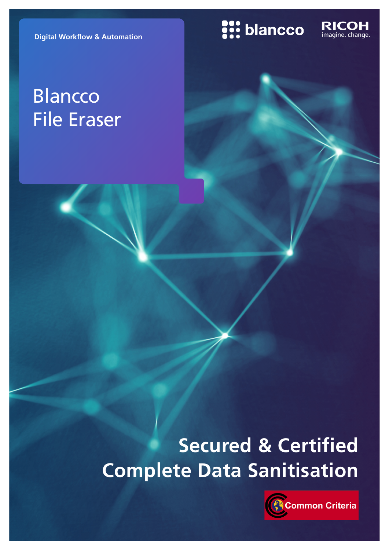**Digital Workflow & Automation**

# **Blancco** File Eraser

# **S:: blancco**

RICOH<br>imagine. change.

# **Secured & Certified Complete Data Sanitisation**

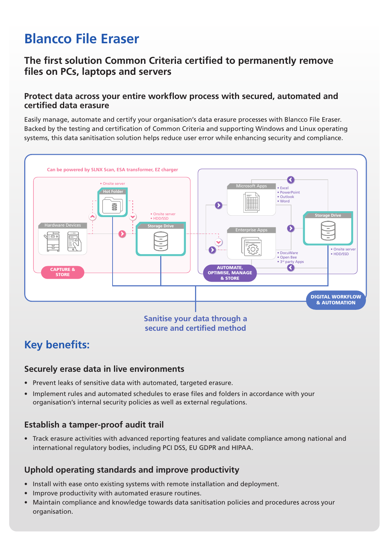## **Blancco File Eraser**

## **The first solution Common Criteria certified to permanently remove files on PCs, laptops and servers**

### **Protect data across your entire workflow process with secured, automated and certified data erasure**

Easily manage, automate and certify your organisation's data erasure processes with Blancco File Eraser. Backed by the testing and certification of Common Criteria and supporting Windows and Linux operating systems, this data sanitisation solution helps reduce user error while enhancing security and compliance.



**secure and certified method**

## **Key benefits:**

### **Securely erase data in live environments**

- Prevent leaks of sensitive data with automated, targeted erasure.
- Implement rules and automated schedules to erase files and folders in accordance with your organisation's internal security policies as well as external regulations.

## **Establish a tamper-proof audit trail**

• Track erasure activities with advanced reporting features and validate compliance among national and international regulatory bodies, including PCI DSS, EU GDPR and HIPAA.

## **Uphold operating standards and improve productivity**

- Install with ease onto existing systems with remote installation and deployment.
- Improve productivity with automated erasure routines.
- Maintain compliance and knowledge towards data sanitisation policies and procedures across your organisation.